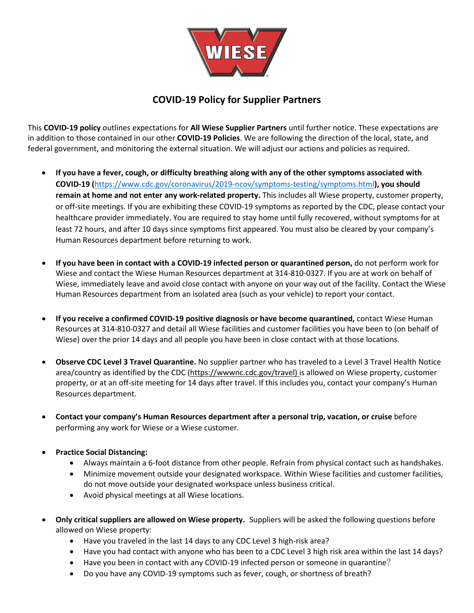

## **COVID-19 Policy for Supplier Partners**

This **COVID-19 policy** outlines expectations for **All Wiese Supplier Partners** until further notice. These expectations are in addition to those contained in our other **COVID-19 Policies**. We are following the direction of the local, state, and federal government, and monitoring the external situation. We will adjust our actions and policies as required.

- **If you have a fever, cough, or difficulty breathing along with any of the other symptoms associated with COVID-19 (**<https://www.cdc.gov/coronavirus/2019-ncov/symptoms-testing/symptoms.html>**), you should remain at home and not enter any work-related property.** This includes all Wiese property, customer property, or off-site meetings. If you are exhibiting these COVID-19 symptoms as reported by the CDC, please contact your healthcare provider immediately. You are required to stay home until fully recovered, without symptoms for at least 72 hours, and after 10 days since symptoms first appeared. You must also be cleared by your company's Human Resources department before returning to work.
- **If you have been in contact with a COVID-19 infected person or quarantined person,** do not perform work for Wiese and contact the Wiese Human Resources department at 314-810-0327. If you are at work on behalf of Wiese, immediately leave and avoid close contact with anyone on your way out of the facility. Contact the Wiese Human Resources department from an isolated area (such as your vehicle) to report your contact.
- **If you receive a confirmed COVID-19 positive diagnosis or have become quarantined,** contact Wiese Human Resources at 314-810-0327 and detail all Wiese facilities and customer facilities you have been to (on behalf of Wiese) over the prior 14 days and all people you have been in close contact with at those locations.
- **Observe CDC Level 3 Travel Quarantine.** No supplier partner who has traveled to a Level 3 Travel Health Notice area/country as identified by the CDC [\(https://wwwnc.cdc.gov/travel\)](https://wwwnc.cdc.gov/travel) is allowed on Wiese property, customer property, or at an off-site meeting for 14 days after travel. If this includes you, contact your company's Human Resources department.
- **Contact your company's Human Resources department after a personal trip, vacation, or cruise** before performing any work for Wiese or a Wiese customer.
- **Practice Social Distancing:**
	- Always maintain a 6-foot distance from other people. Refrain from physical contact such as handshakes.
	- Minimize movement outside your designated workspace. Within Wiese facilities and customer facilities, do not move outside your designated workspace unless business critical.
	- Avoid physical meetings at all Wiese locations.
- **Only critical suppliers are allowed on Wiese property.** Suppliers will be asked the following questions before allowed on Wiese property:
	- Have you traveled in the last 14 days to any CDC Level 3 high-risk area?
	- Have you had contact with anyone who has been to a CDC Level 3 high risk area within the last 14 days?
	- Have you been in contact with any COVID-19 infected person or someone in quarantine?
	- Do you have any COVID-19 symptoms such as fever, cough, or shortness of breath?